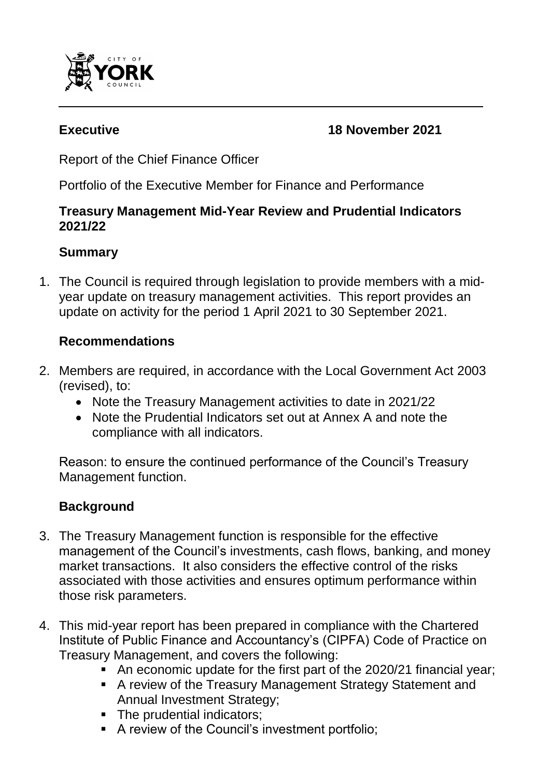

#### **Executive 18 November 2021**

Report of the Chief Finance Officer

Portfolio of the Executive Member for Finance and Performance

#### **Treasury Management Mid-Year Review and Prudential Indicators 2021/22**

# **Summary**

1. The Council is required through legislation to provide members with a midyear update on treasury management activities. This report provides an update on activity for the period 1 April 2021 to 30 September 2021.

# **Recommendations**

- 2. Members are required, in accordance with the Local Government Act 2003 (revised), to:
	- Note the Treasury Management activities to date in 2021/22
	- Note the Prudential Indicators set out at Annex A and note the compliance with all indicators.

Reason: to ensure the continued performance of the Council's Treasury Management function.

# **Background**

- 3. The Treasury Management function is responsible for the effective management of the Council's investments, cash flows, banking, and money market transactions. It also considers the effective control of the risks associated with those activities and ensures optimum performance within those risk parameters.
- 4. This mid-year report has been prepared in compliance with the Chartered Institute of Public Finance and Accountancy's (CIPFA) Code of Practice on Treasury Management, and covers the following:
	- An economic update for the first part of the 2020/21 financial year;
	- A review of the Treasury Management Strategy Statement and Annual Investment Strategy;
	- The prudential indicators;
	- A review of the Council's investment portfolio;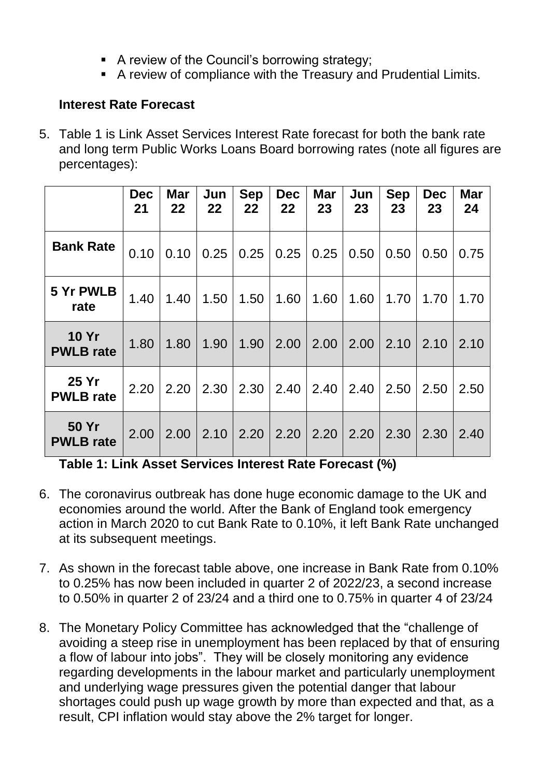- A review of the Council's borrowing strategy;
- A review of compliance with the Treasury and Prudential Limits.

## **Interest Rate Forecast**

5. Table 1 is Link Asset Services Interest Rate forecast for both the bank rate and long term Public Works Loans Board borrowing rates (note all figures are percentages):

|                                  | <b>Dec</b><br>21 | <b>Mar</b><br>22 | Jun<br>22 | <b>Sep</b><br>22 | <b>Dec</b><br>22 | <b>Mar</b><br>23 | Jun<br>23 | <b>Sep</b><br>23 | <b>Dec</b><br>23 | <b>Mar</b><br>24 |
|----------------------------------|------------------|------------------|-----------|------------------|------------------|------------------|-----------|------------------|------------------|------------------|
| <b>Bank Rate</b>                 | 0.10             | 0.10             | 0.25      | 0.25             | 0.25             | 0.25             | 0.50      | 0.50             | 0.50             | 0.75             |
| 5 Yr PWLB<br>rate                | 1.40             | 1.40             | 1.50      | 1.50             | 1.60             | 1.60             | 1.60      | 1.70             | 1.70             | 1.70             |
| <b>10 Yr</b><br><b>PWLB</b> rate | 1.80             | 1.80             | 1.90      | 1.90             | 2.00             | 2.00             | 2.00      | 2.10             | 2.10             | 2.10             |
| 25 Yr<br><b>PWLB</b> rate        | 2.20             | 2.20             | 2.30      | 2.30             | 2.40             | 2.40             | 2.40      | 2.50             | 2.50             | 2.50             |
| <b>50 Yr</b><br><b>PWLB</b> rate | 2.00             | 2.00             | 2.10      | 2.20             | 2.20             | 2.20             | 2.20      | 2.30             | 2.30             | 2.40             |

**Table 1: Link Asset Services Interest Rate Forecast (%)**

- 6. The coronavirus outbreak has done huge economic damage to the UK and economies around the world. After the Bank of England took emergency action in March 2020 to cut Bank Rate to 0.10%, it left Bank Rate unchanged at its subsequent meetings.
- 7. As shown in the forecast table above, one increase in Bank Rate from 0.10% to 0.25% has now been included in quarter 2 of 2022/23, a second increase to 0.50% in quarter 2 of 23/24 and a third one to 0.75% in quarter 4 of 23/24
- 8. The Monetary Policy Committee has acknowledged that the "challenge of avoiding a steep rise in unemployment has been replaced by that of ensuring a flow of labour into jobs". They will be closely monitoring any evidence regarding developments in the labour market and particularly unemployment and underlying wage pressures given the potential danger that labour shortages could push up wage growth by more than expected and that, as a result, CPI inflation would stay above the 2% target for longer.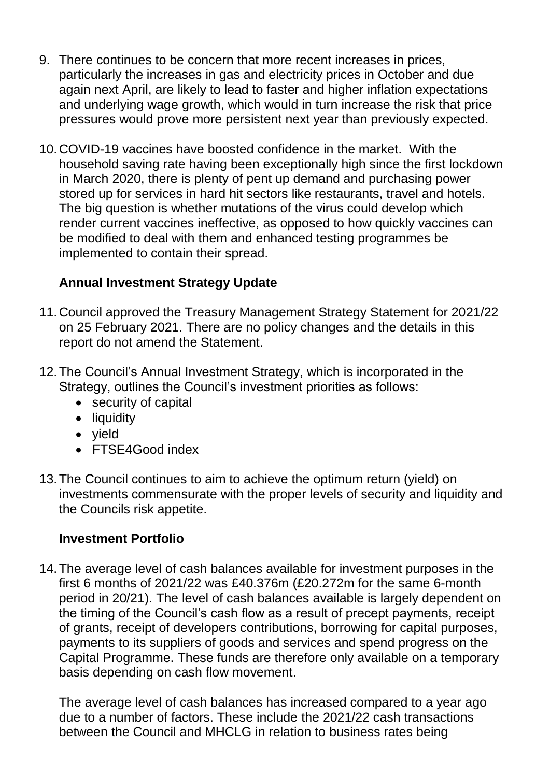- 9. There continues to be concern that more recent increases in prices, particularly the increases in gas and electricity prices in October and due again next April, are likely to lead to faster and higher inflation expectations and underlying wage growth, which would in turn increase the risk that price pressures would prove more persistent next year than previously expected.
- 10.COVID-19 vaccines have boosted confidence in the market. With the household saving rate having been exceptionally high since the first lockdown in March 2020, there is plenty of pent up demand and purchasing power stored up for services in hard hit sectors like restaurants, travel and hotels. The big question is whether mutations of the virus could develop which render current vaccines ineffective, as opposed to how quickly vaccines can be modified to deal with them and enhanced testing programmes be implemented to contain their spread.

## **Annual Investment Strategy Update**

- 11.Council approved the Treasury Management Strategy Statement for 2021/22 on 25 February 2021. There are no policy changes and the details in this report do not amend the Statement.
- 12.The Council's Annual Investment Strategy, which is incorporated in the Strategy, outlines the Council's investment priorities as follows:
	- security of capital
	- liquidity
	- yield
	- FTSE4Good index
- 13.The Council continues to aim to achieve the optimum return (yield) on investments commensurate with the proper levels of security and liquidity and the Councils risk appetite.

#### **Investment Portfolio**

14.The average level of cash balances available for investment purposes in the first 6 months of 2021/22 was £40.376m (£20.272m for the same 6-month period in 20/21). The level of cash balances available is largely dependent on the timing of the Council's cash flow as a result of precept payments, receipt of grants, receipt of developers contributions, borrowing for capital purposes, payments to its suppliers of goods and services and spend progress on the Capital Programme. These funds are therefore only available on a temporary basis depending on cash flow movement.

The average level of cash balances has increased compared to a year ago due to a number of factors. These include the 2021/22 cash transactions between the Council and MHCLG in relation to business rates being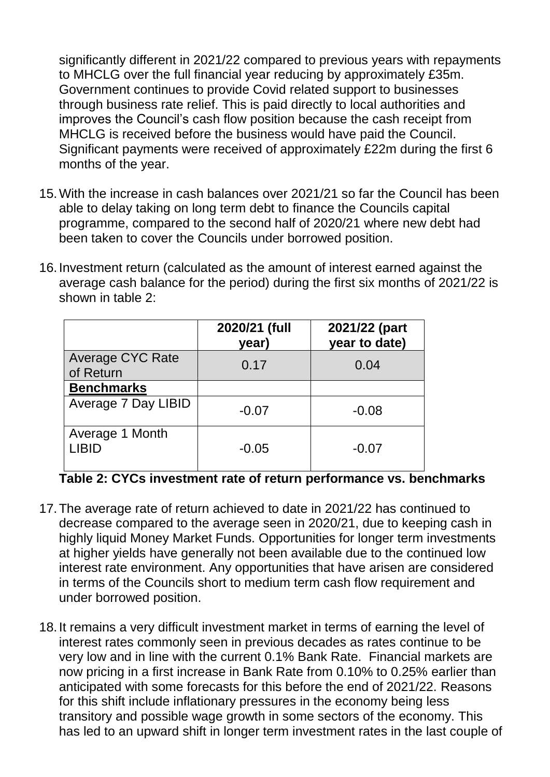significantly different in 2021/22 compared to previous years with repayments to MHCLG over the full financial year reducing by approximately £35m. Government continues to provide Covid related support to businesses through business rate relief. This is paid directly to local authorities and improves the Council's cash flow position because the cash receipt from MHCLG is received before the business would have paid the Council. Significant payments were received of approximately £22m during the first 6 months of the year.

- 15.With the increase in cash balances over 2021/21 so far the Council has been able to delay taking on long term debt to finance the Councils capital programme, compared to the second half of 2020/21 where new debt had been taken to cover the Councils under borrowed position.
- 16.Investment return (calculated as the amount of interest earned against the average cash balance for the period) during the first six months of 2021/22 is shown in table 2:

|                                      | 2020/21 (full<br>year) | 2021/22 (part<br>year to date) |
|--------------------------------------|------------------------|--------------------------------|
| <b>Average CYC Rate</b><br>of Return | 0.17                   | 0.04                           |
| <b>Benchmarks</b>                    |                        |                                |
| <b>Average 7 Day LIBID</b>           | $-0.07$                | $-0.08$                        |
| Average 1 Month<br><b>LIBID</b>      | $-0.05$                | $-0.07$                        |

## **Table 2: CYCs investment rate of return performance vs. benchmarks**

- 17.The average rate of return achieved to date in 2021/22 has continued to decrease compared to the average seen in 2020/21, due to keeping cash in highly liquid Money Market Funds. Opportunities for longer term investments at higher yields have generally not been available due to the continued low interest rate environment. Any opportunities that have arisen are considered in terms of the Councils short to medium term cash flow requirement and under borrowed position.
- 18.It remains a very difficult investment market in terms of earning the level of interest rates commonly seen in previous decades as rates continue to be very low and in line with the current 0.1% Bank Rate. Financial markets are now pricing in a first increase in Bank Rate from 0.10% to 0.25% earlier than anticipated with some forecasts for this before the end of 2021/22. Reasons for this shift include inflationary pressures in the economy being less transitory and possible wage growth in some sectors of the economy. This has led to an upward shift in longer term investment rates in the last couple of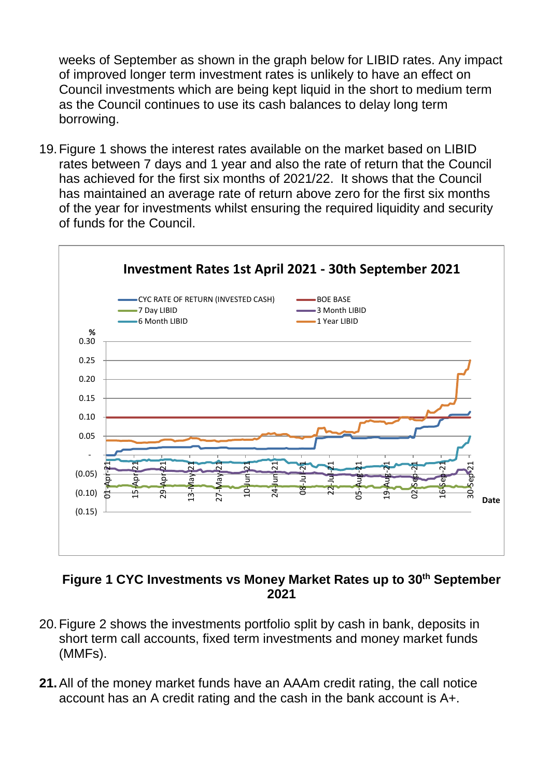weeks of September as shown in the graph below for LIBID rates. Any impact of improved longer term investment rates is unlikely to have an effect on Council investments which are being kept liquid in the short to medium term as the Council continues to use its cash balances to delay long term borrowing.

19.Figure 1 shows the interest rates available on the market based on LIBID rates between 7 days and 1 year and also the rate of return that the Council has achieved for the first six months of 2021/22. It shows that the Council has maintained an average rate of return above zero for the first six months of the year for investments whilst ensuring the required liquidity and security of funds for the Council.



#### **Figure 1 CYC Investments vs Money Market Rates up to 30th September 2021**

- 20.Figure 2 shows the investments portfolio split by cash in bank, deposits in short term call accounts, fixed term investments and money market funds (MMFs).
- **21.**All of the money market funds have an AAAm credit rating, the call notice account has an A credit rating and the cash in the bank account is A+.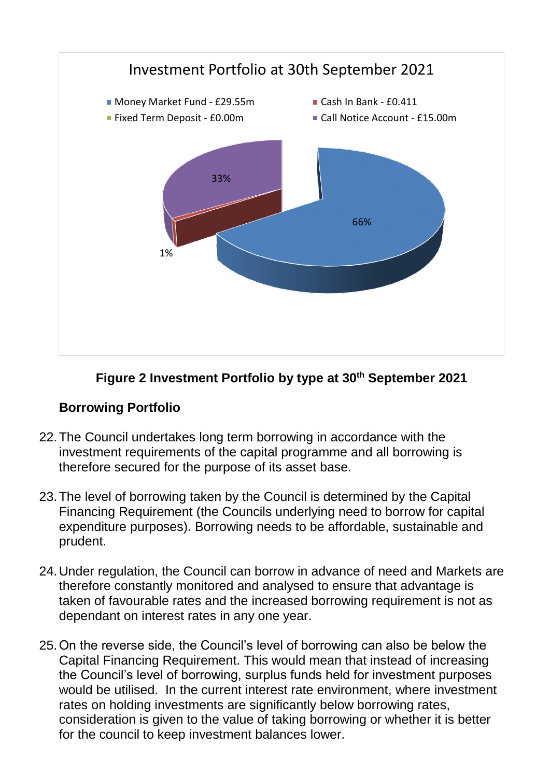

## **Figure 2 Investment Portfolio by type at 30th September 2021**

#### **Borrowing Portfolio**

- 22.The Council undertakes long term borrowing in accordance with the investment requirements of the capital programme and all borrowing is therefore secured for the purpose of its asset base.
- 23.The level of borrowing taken by the Council is determined by the Capital Financing Requirement (the Councils underlying need to borrow for capital expenditure purposes). Borrowing needs to be affordable, sustainable and prudent.
- 24.Under regulation, the Council can borrow in advance of need and Markets are therefore constantly monitored and analysed to ensure that advantage is taken of favourable rates and the increased borrowing requirement is not as dependant on interest rates in any one year.
- 25.On the reverse side, the Council's level of borrowing can also be below the Capital Financing Requirement. This would mean that instead of increasing the Council's level of borrowing, surplus funds held for investment purposes would be utilised. In the current interest rate environment, where investment rates on holding investments are significantly below borrowing rates, consideration is given to the value of taking borrowing or whether it is better for the council to keep investment balances lower.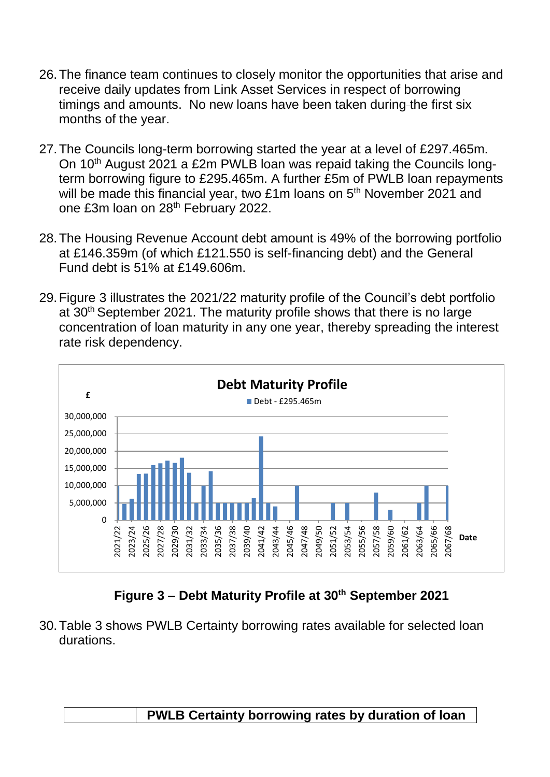- 26.The finance team continues to closely monitor the opportunities that arise and receive daily updates from Link Asset Services in respect of borrowing timings and amounts. No new loans have been taken during-the first six months of the year.
- 27.The Councils long-term borrowing started the year at a level of £297.465m. On 10<sup>th</sup> August 2021 a £2m PWLB loan was repaid taking the Councils longterm borrowing figure to £295.465m. A further £5m of PWLB loan repayments will be made this financial year, two £1m loans on 5<sup>th</sup> November 2021 and one £3m loan on 28th February 2022.
- 28.The Housing Revenue Account debt amount is 49% of the borrowing portfolio at £146.359m (of which £121.550 is self-financing debt) and the General Fund debt is 51% at £149.606m.
- 29.Figure 3 illustrates the 2021/22 maturity profile of the Council's debt portfolio at 30<sup>th</sup> September 2021. The maturity profile shows that there is no large concentration of loan maturity in any one year, thereby spreading the interest rate risk dependency.



**Figure 3 – Debt Maturity Profile at 30th September 2021**

30.Table 3 shows PWLB Certainty borrowing rates available for selected loan durations.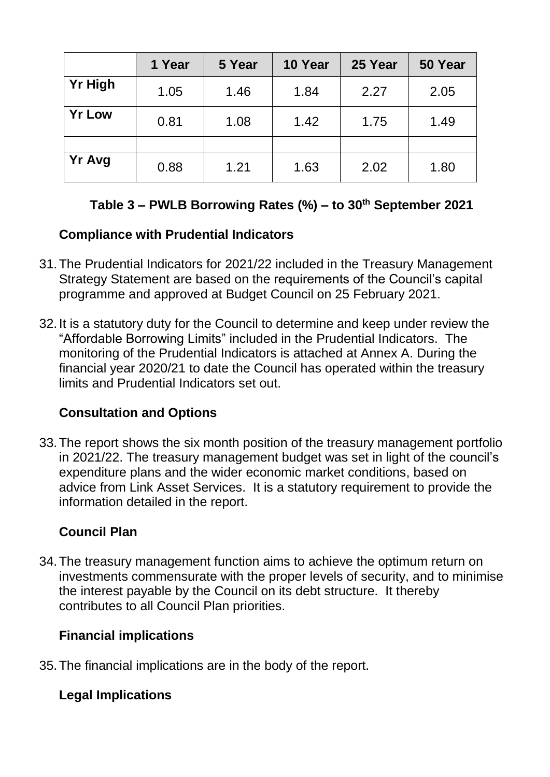|                | 1 Year | 5 Year | 10 Year | 25 Year | 50 Year |
|----------------|--------|--------|---------|---------|---------|
| <b>Yr High</b> | 1.05   | 1.46   | 1.84    | 2.27    | 2.05    |
| <b>Yr Low</b>  | 0.81   | 1.08   | 1.42    | 1.75    | 1.49    |
|                |        |        |         |         |         |
| <b>Yr Avg</b>  | 0.88   | 1.21   | 1.63    | 2.02    | 1.80    |

# **Table 3 – PWLB Borrowing Rates (%) – to 30th September 2021**

# **Compliance with Prudential Indicators**

- 31.The Prudential Indicators for 2021/22 included in the Treasury Management Strategy Statement are based on the requirements of the Council's capital programme and approved at Budget Council on 25 February 2021.
- 32.It is a statutory duty for the Council to determine and keep under review the "Affordable Borrowing Limits" included in the Prudential Indicators. The monitoring of the Prudential Indicators is attached at Annex A. During the financial year 2020/21 to date the Council has operated within the treasury limits and Prudential Indicators set out.

# **Consultation and Options**

33.The report shows the six month position of the treasury management portfolio in 2021/22. The treasury management budget was set in light of the council's expenditure plans and the wider economic market conditions, based on advice from Link Asset Services. It is a statutory requirement to provide the information detailed in the report.

# **Council Plan**

34.The treasury management function aims to achieve the optimum return on investments commensurate with the proper levels of security, and to minimise the interest payable by the Council on its debt structure. It thereby contributes to all Council Plan priorities.

## **Financial implications**

35.The financial implications are in the body of the report.

# **Legal Implications**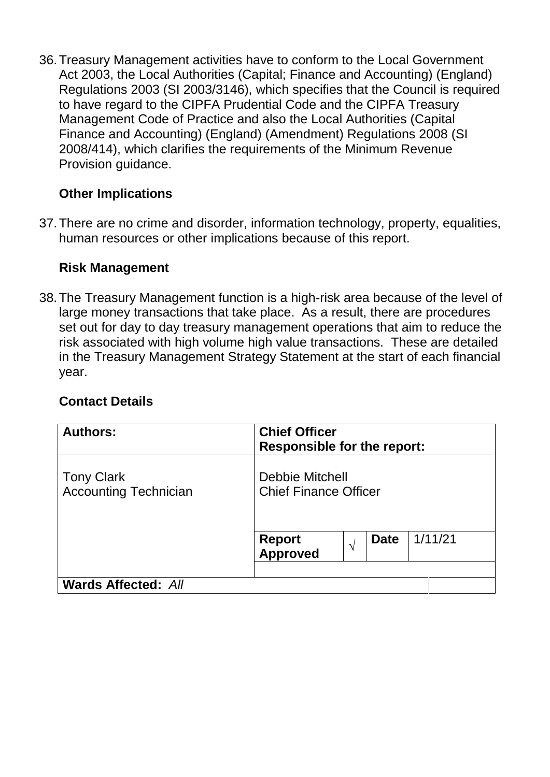36.Treasury Management activities have to conform to the Local Government Act 2003, the Local Authorities (Capital; Finance and Accounting) (England) Regulations 2003 (SI 2003/3146), which specifies that the Council is required to have regard to the CIPFA Prudential Code and the CIPFA Treasury Management Code of Practice and also the Local Authorities (Capital Finance and Accounting) (England) (Amendment) Regulations 2008 (SI 2008/414), which clarifies the requirements of the Minimum Revenue Provision guidance.

## **Other Implications**

37.There are no crime and disorder, information technology, property, equalities, human resources or other implications because of this report.

## **Risk Management**

38.The Treasury Management function is a high-risk area because of the level of large money transactions that take place. As a result, there are procedures set out for day to day treasury management operations that aim to reduce the risk associated with high volume high value transactions. These are detailed in the Treasury Management Strategy Statement at the start of each financial year.

## **Contact Details**

| <b>Authors:</b>                                   | <b>Chief Officer</b><br><b>Responsible for the report:</b>                                                           |
|---------------------------------------------------|----------------------------------------------------------------------------------------------------------------------|
| <b>Tony Clark</b><br><b>Accounting Technician</b> | <b>Debbie Mitchell</b><br><b>Chief Finance Officer</b><br>1/11/21<br><b>Date</b><br>Report<br>Approved<br>$\sqrt{ }$ |
| <b>Wards Affected: All</b>                        |                                                                                                                      |